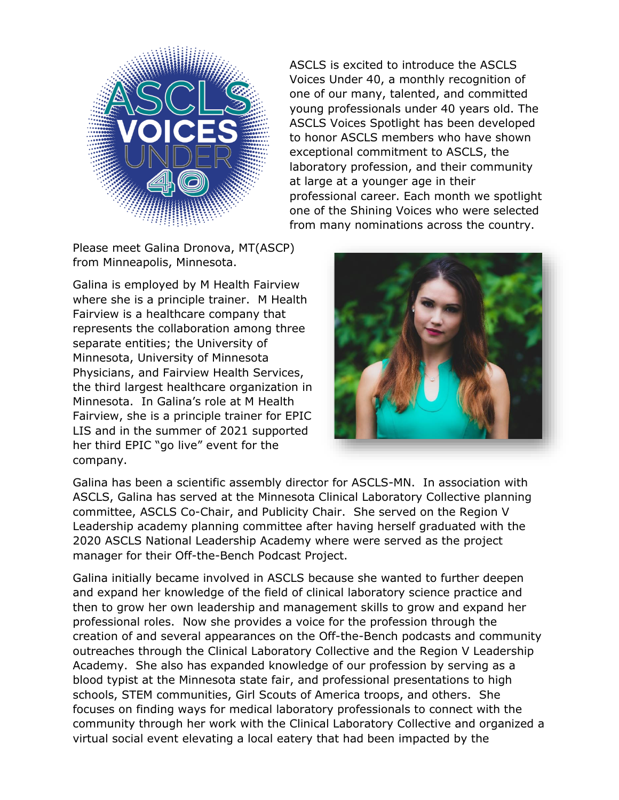

ASCLS is excited to introduce the ASCLS Voices Under 40, a monthly recognition of one of our many, talented, and committed young professionals under 40 years old. The ASCLS Voices Spotlight has been developed to honor ASCLS members who have shown exceptional commitment to ASCLS, the laboratory profession, and their community at large at a younger age in their professional career. Each month we spotlight one of the Shining Voices who were selected from many nominations across the country.

Please meet Galina Dronova, MT(ASCP) from Minneapolis, Minnesota.

Galina is employed by M Health Fairview where she is a principle trainer. M Health Fairview is a healthcare company that represents the collaboration among three separate entities; the University of Minnesota, University of Minnesota Physicians, and Fairview Health Services, the third largest healthcare organization in Minnesota. In Galina's role at M Health Fairview, she is a principle trainer for EPIC LIS and in the summer of 2021 supported her third EPIC "go live" event for the company.



Galina has been a scientific assembly director for ASCLS-MN. In association with ASCLS, Galina has served at the Minnesota Clinical Laboratory Collective planning committee, ASCLS Co-Chair, and Publicity Chair. She served on the Region V Leadership academy planning committee after having herself graduated with the 2020 ASCLS National Leadership Academy where were served as the project manager for their Off-the-Bench Podcast Project.

Galina initially became involved in ASCLS because she wanted to further deepen and expand her knowledge of the field of clinical laboratory science practice and then to grow her own leadership and management skills to grow and expand her professional roles. Now she provides a voice for the profession through the creation of and several appearances on the Off-the-Bench podcasts and community outreaches through the Clinical Laboratory Collective and the Region V Leadership Academy. She also has expanded knowledge of our profession by serving as a blood typist at the Minnesota state fair, and professional presentations to high schools, STEM communities, Girl Scouts of America troops, and others. She focuses on finding ways for medical laboratory professionals to connect with the community through her work with the Clinical Laboratory Collective and organized a virtual social event elevating a local eatery that had been impacted by the